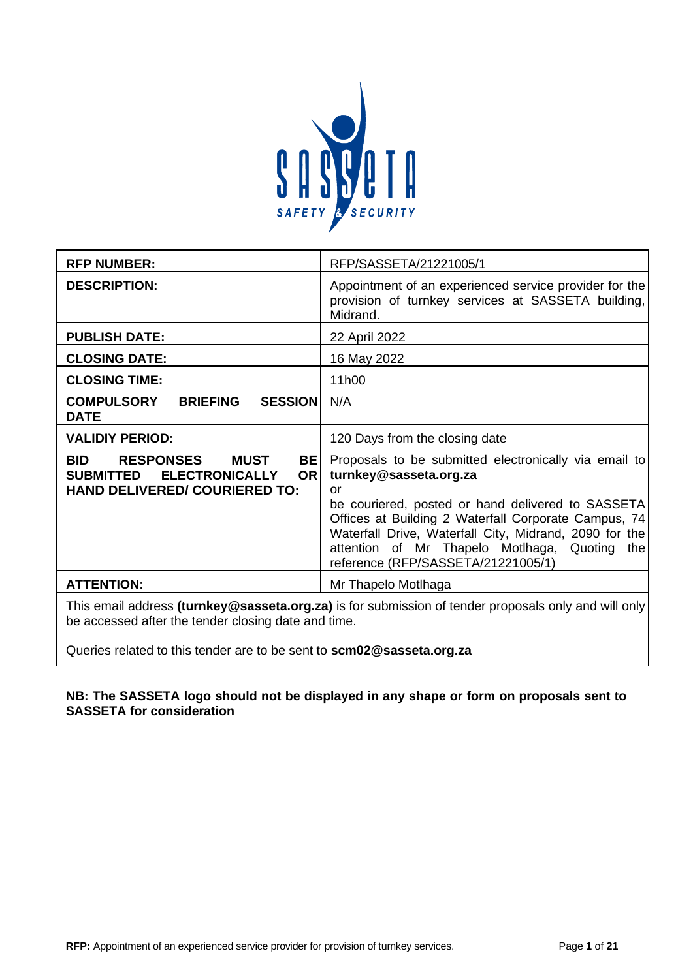

| <b>RFP NUMBER:</b>                                                                                                                                           | RFP/SASSETA/21221005/1                                                                                                                                                                                                                                                                                                                                 |
|--------------------------------------------------------------------------------------------------------------------------------------------------------------|--------------------------------------------------------------------------------------------------------------------------------------------------------------------------------------------------------------------------------------------------------------------------------------------------------------------------------------------------------|
| <b>DESCRIPTION:</b>                                                                                                                                          | Appointment of an experienced service provider for the<br>provision of turnkey services at SASSETA building,<br>Midrand.                                                                                                                                                                                                                               |
| <b>PUBLISH DATE:</b>                                                                                                                                         | 22 April 2022                                                                                                                                                                                                                                                                                                                                          |
| <b>CLOSING DATE:</b>                                                                                                                                         | 16 May 2022                                                                                                                                                                                                                                                                                                                                            |
| <b>CLOSING TIME:</b>                                                                                                                                         | 11h00                                                                                                                                                                                                                                                                                                                                                  |
| <b>COMPULSORY</b><br><b>BRIEFING</b><br><b>SESSION</b><br><b>DATE</b>                                                                                        | N/A                                                                                                                                                                                                                                                                                                                                                    |
| <b>VALIDIY PERIOD:</b>                                                                                                                                       | 120 Days from the closing date                                                                                                                                                                                                                                                                                                                         |
| <b>BID</b><br><b>RESPONSES</b><br><b>MUST</b><br><b>BE</b><br><b>ELECTRONICALLY</b><br><b>SUBMITTED</b><br><b>OR</b><br><b>HAND DELIVERED/ COURIERED TO:</b> | Proposals to be submitted electronically via email to<br>turnkey@sasseta.org.za<br>or<br>be couriered, posted or hand delivered to SASSETA<br>Offices at Building 2 Waterfall Corporate Campus, 74<br>Waterfall Drive, Waterfall City, Midrand, 2090 for the<br>attention of Mr Thapelo Motlhaga, Quoting<br>the<br>reference (RFP/SASSETA/21221005/1) |
| <b>ATTENTION:</b>                                                                                                                                            | Mr Thapelo Motlhaga                                                                                                                                                                                                                                                                                                                                    |

This email address **(turnkey@sasseta.org.za)** is for submission of tender proposals only and will only be accessed after the tender closing date and time.

Queries related to this tender are to be sent to **scm02@sasseta.org.za**

## **NB: The SASSETA logo should not be displayed in any shape or form on proposals sent to SASSETA for consideration**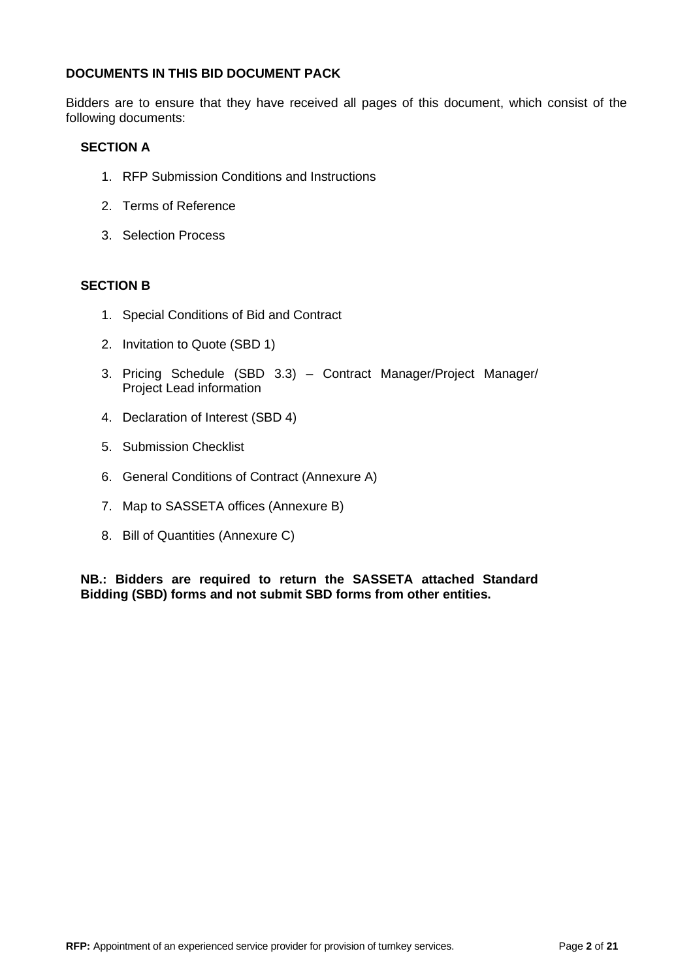## **DOCUMENTS IN THIS BID DOCUMENT PACK**

Bidders are to ensure that they have received all pages of this document, which consist of the following documents:

## **SECTION A**

- 1. RFP Submission Conditions and Instructions
- 2. Terms of Reference
- 3. Selection Process

## **SECTION B**

- 1. Special Conditions of Bid and Contract
- 2. Invitation to Quote (SBD 1)
- 3. Pricing Schedule (SBD 3.3) Contract Manager/Project Manager/ Project Lead information
- 4. Declaration of Interest (SBD 4)
- 5. Submission Checklist
- 6. General Conditions of Contract (Annexure A)
- 7. Map to SASSETA offices (Annexure B)
- 8. Bill of Quantities (Annexure C)

**NB.: Bidders are required to return the SASSETA attached Standard Bidding (SBD) forms and not submit SBD forms from other entities.**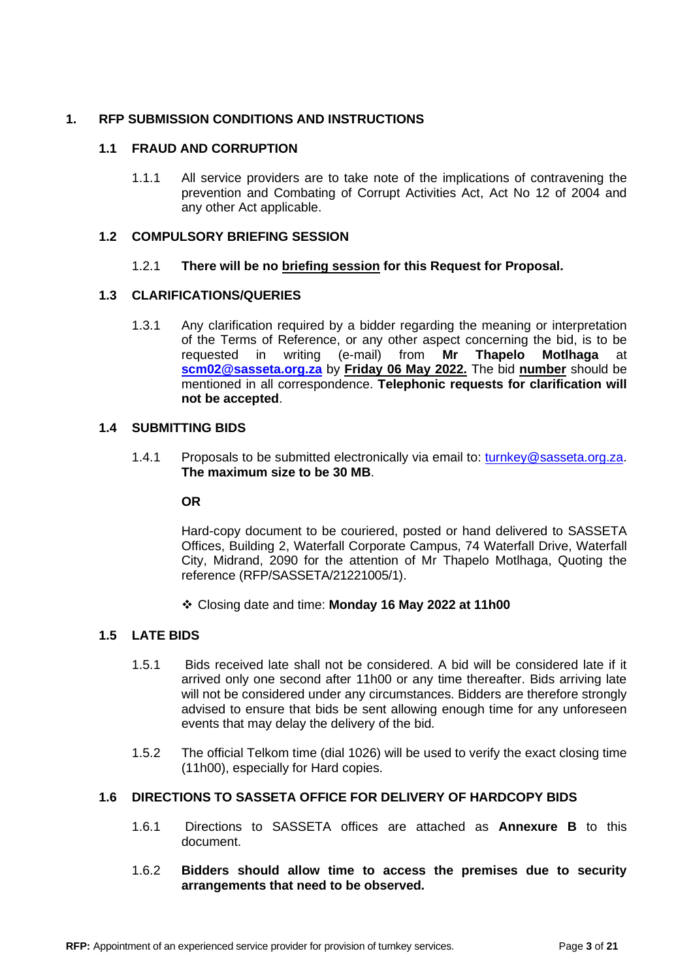## **1. RFP SUBMISSION CONDITIONS AND INSTRUCTIONS**

## **1.1 FRAUD AND CORRUPTION**

1.1.1 All service providers are to take note of the implications of contravening the prevention and Combating of Corrupt Activities Act, Act No 12 of 2004 and any other Act applicable.

## **1.2 COMPULSORY BRIEFING SESSION**

## 1.2.1 **There will be no briefing session for this Request for Proposal.**

## **1.3 CLARIFICATIONS/QUERIES**

1.3.1 Any clarification required by a bidder regarding the meaning or interpretation of the Terms of Reference, or any other aspect concerning the bid, is to be requested in writing (e-mail) from **Mr Thapelo Motlhaga** at **[scm02@sasseta.org.za](mailto:scm03@sasseta.org.za)** by **Friday 06 May 2022.** The bid **number** should be mentioned in all correspondence. **Telephonic requests for clarification will not be accepted**.

## **1.4 SUBMITTING BIDS**

1.4.1 Proposals to be submitted electronically via email to: [turnkey@sasseta.org.za.](mailto:turnkey@sasseta.org.za) **The maximum size to be 30 MB**.

## **OR**

Hard-copy document to be couriered, posted or hand delivered to SASSETA Offices, Building 2, Waterfall Corporate Campus, 74 Waterfall Drive, Waterfall City, Midrand, 2090 for the attention of Mr Thapelo Motlhaga, Quoting the reference (RFP/SASSETA/21221005/1).

❖ Closing date and time: **Monday 16 May 2022 at 11h00**

## **1.5 LATE BIDS**

- 1.5.1 Bids received late shall not be considered. A bid will be considered late if it arrived only one second after 11h00 or any time thereafter. Bids arriving late will not be considered under any circumstances. Bidders are therefore strongly advised to ensure that bids be sent allowing enough time for any unforeseen events that may delay the delivery of the bid.
- 1.5.2 The official Telkom time (dial 1026) will be used to verify the exact closing time (11h00), especially for Hard copies.

## **1.6 DIRECTIONS TO SASSETA OFFICE FOR DELIVERY OF HARDCOPY BIDS**

- 1.6.1 Directions to SASSETA offices are attached as **Annexure B** to this document.
- 1.6.2 **Bidders should allow time to access the premises due to security arrangements that need to be observed.**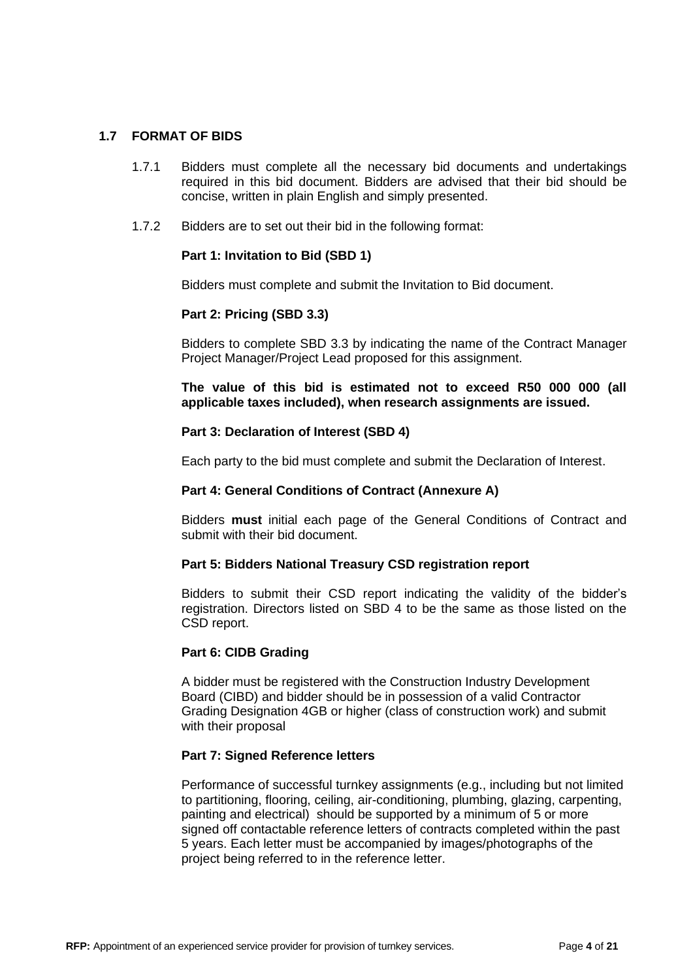## **1.7 FORMAT OF BIDS**

- 1.7.1 Bidders must complete all the necessary bid documents and undertakings required in this bid document. Bidders are advised that their bid should be concise, written in plain English and simply presented.
- 1.7.2 Bidders are to set out their bid in the following format:

## **Part 1: Invitation to Bid (SBD 1)**

Bidders must complete and submit the Invitation to Bid document.

## **Part 2: Pricing (SBD 3.3)**

Bidders to complete SBD 3.3 by indicating the name of the Contract Manager Project Manager/Project Lead proposed for this assignment.

**The value of this bid is estimated not to exceed R50 000 000 (all applicable taxes included), when research assignments are issued.**

## **Part 3: Declaration of Interest (SBD 4)**

Each party to the bid must complete and submit the Declaration of Interest.

## **Part 4: General Conditions of Contract (Annexure A)**

Bidders **must** initial each page of the General Conditions of Contract and submit with their bid document.

## **Part 5: Bidders National Treasury CSD registration report**

Bidders to submit their CSD report indicating the validity of the bidder's registration. Directors listed on SBD 4 to be the same as those listed on the CSD report.

## **Part 6: CIDB Grading**

A bidder must be registered with the Construction Industry Development Board (CIBD) and bidder should be in possession of a valid Contractor Grading Designation 4GB or higher (class of construction work) and submit with their proposal

## **Part 7: Signed Reference letters**

Performance of successful turnkey assignments (e.g., including but not limited to partitioning, flooring, ceiling, air-conditioning, plumbing, glazing, carpenting, painting and electrical) should be supported by a minimum of 5 or more signed off contactable reference letters of contracts completed within the past 5 years. Each letter must be accompanied by images/photographs of the project being referred to in the reference letter.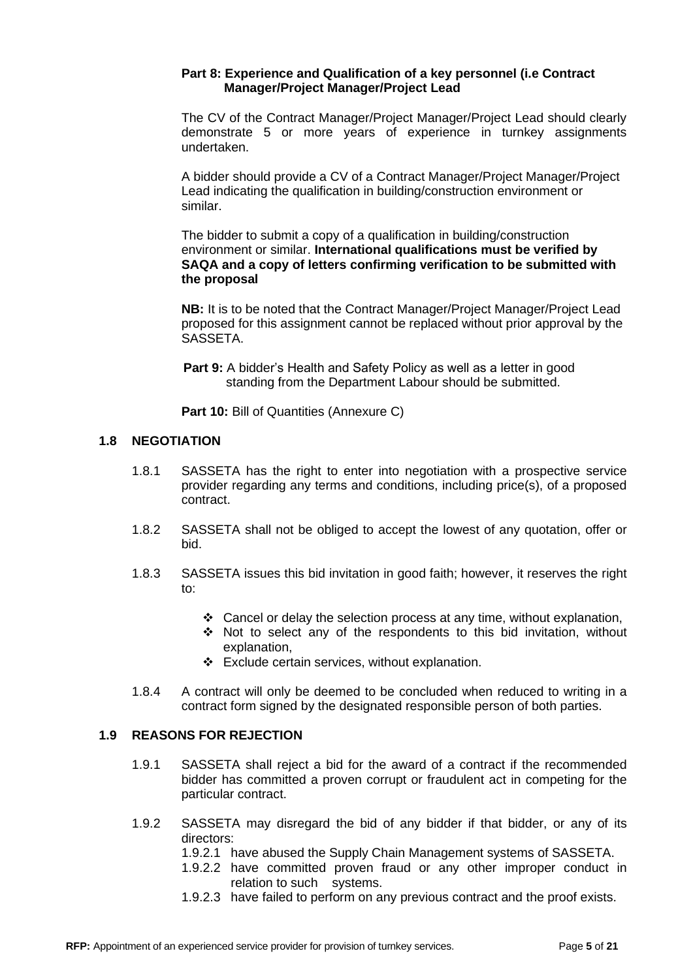## **Part 8: Experience and Qualification of a key personnel (i.e Contract Manager/Project Manager/Project Lead**

The CV of the Contract Manager/Project Manager/Project Lead should clearly demonstrate 5 or more years of experience in turnkey assignments undertaken.

A bidder should provide a CV of a Contract Manager/Project Manager/Project Lead indicating the qualification in building/construction environment or similar.

The bidder to submit a copy of a qualification in building/construction environment or similar. **International qualifications must be verified by SAQA and a copy of letters confirming verification to be submitted with the proposal**

**NB:** It is to be noted that the Contract Manager/Project Manager/Project Lead proposed for this assignment cannot be replaced without prior approval by the SASSETA.

**Part 9:** A bidder's Health and Safety Policy as well as a letter in good standing from the Department Labour should be submitted.

**Part 10: Bill of Quantities (Annexure C)** 

## **1.8 NEGOTIATION**

- 1.8.1 SASSETA has the right to enter into negotiation with a prospective service provider regarding any terms and conditions, including price(s), of a proposed contract.
- 1.8.2 SASSETA shall not be obliged to accept the lowest of any quotation, offer or bid.
- 1.8.3 SASSETA issues this bid invitation in good faith; however, it reserves the right to:
	- $\div$  Cancel or delay the selection process at any time, without explanation,
	- ❖ Not to select any of the respondents to this bid invitation, without explanation,
	- ❖ Exclude certain services, without explanation.
- 1.8.4 A contract will only be deemed to be concluded when reduced to writing in a contract form signed by the designated responsible person of both parties.

## **1.9 REASONS FOR REJECTION**

- 1.9.1 SASSETA shall reject a bid for the award of a contract if the recommended bidder has committed a proven corrupt or fraudulent act in competing for the particular contract.
- 1.9.2 SASSETA may disregard the bid of any bidder if that bidder, or any of its directors:
	- 1.9.2.1 have abused the Supply Chain Management systems of SASSETA.
	- 1.9.2.2 have committed proven fraud or any other improper conduct in relation to such systems.
	- 1.9.2.3 have failed to perform on any previous contract and the proof exists.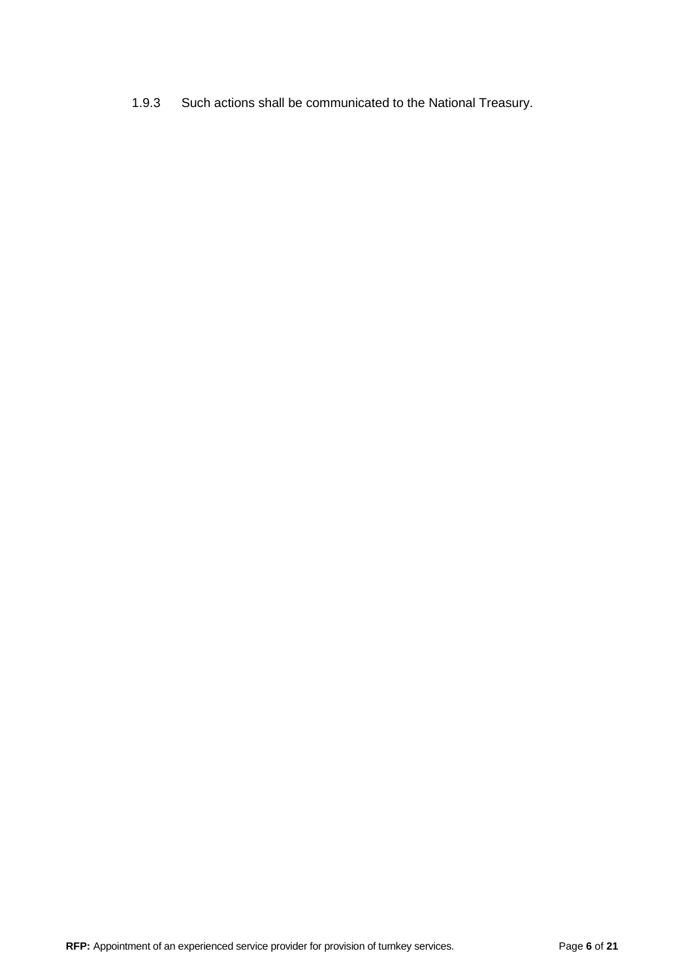1.9.3 Such actions shall be communicated to the National Treasury.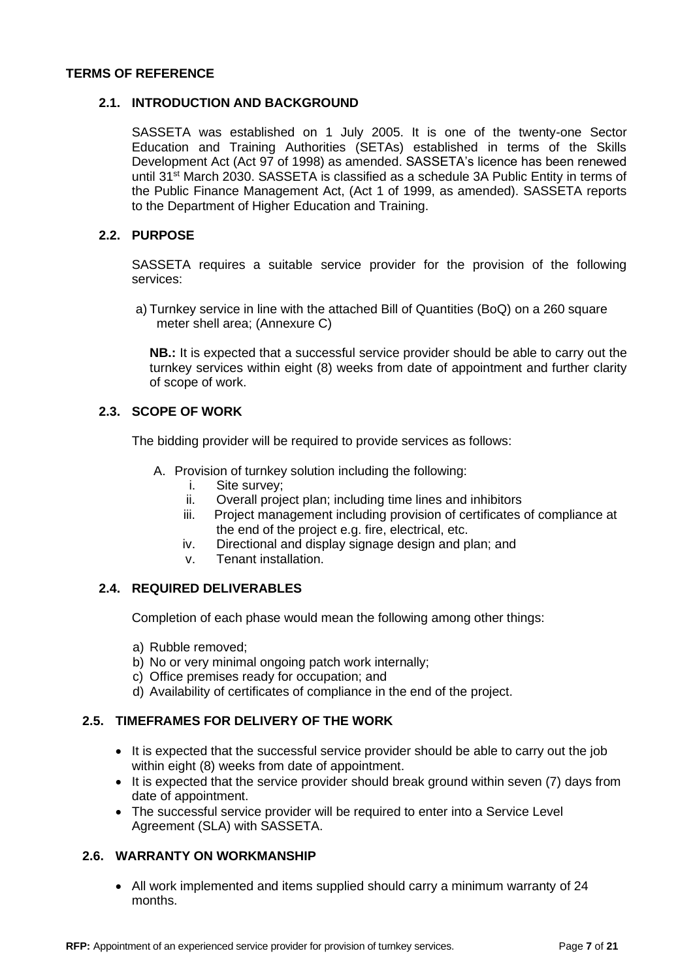### **TERMS OF REFERENCE**

## **2.1. INTRODUCTION AND BACKGROUND**

SASSETA was established on 1 July 2005. It is one of the twenty-one Sector Education and Training Authorities (SETAs) established in terms of the Skills Development Act (Act 97 of 1998) as amended. SASSETA's licence has been renewed until 31st March 2030. SASSETA is classified as a schedule 3A Public Entity in terms of the Public Finance Management Act, (Act 1 of 1999, as amended). SASSETA reports to the Department of Higher Education and Training.

## **2.2. PURPOSE**

SASSETA requires a suitable service provider for the provision of the following services:

a) Turnkey service in line with the attached Bill of Quantities (BoQ) on a 260 square meter shell area; (Annexure C)

**NB.:** It is expected that a successful service provider should be able to carry out the turnkey services within eight (8) weeks from date of appointment and further clarity of scope of work.

## **2.3. SCOPE OF WORK**

The bidding provider will be required to provide services as follows:

- A. Provision of turnkey solution including the following:
	- i. Site survey;
	- ii. Overall project plan; including time lines and inhibitors
	- iii. Project management including provision of certificates of compliance at the end of the project e.g. fire, electrical, etc.
	- iv. Directional and display signage design and plan; and
	- v. Tenant installation.

## **2.4. REQUIRED DELIVERABLES**

Completion of each phase would mean the following among other things:

- a) Rubble removed;
- b) No or very minimal ongoing patch work internally:
- c) Office premises ready for occupation; and
- d) Availability of certificates of compliance in the end of the project.

## **2.5. TIMEFRAMES FOR DELIVERY OF THE WORK**

- It is expected that the successful service provider should be able to carry out the job within eight (8) weeks from date of appointment.
- It is expected that the service provider should break ground within seven (7) days from date of appointment.
- The successful service provider will be required to enter into a Service Level Agreement (SLA) with SASSETA.

## **2.6. WARRANTY ON WORKMANSHIP**

• All work implemented and items supplied should carry a minimum warranty of 24 months.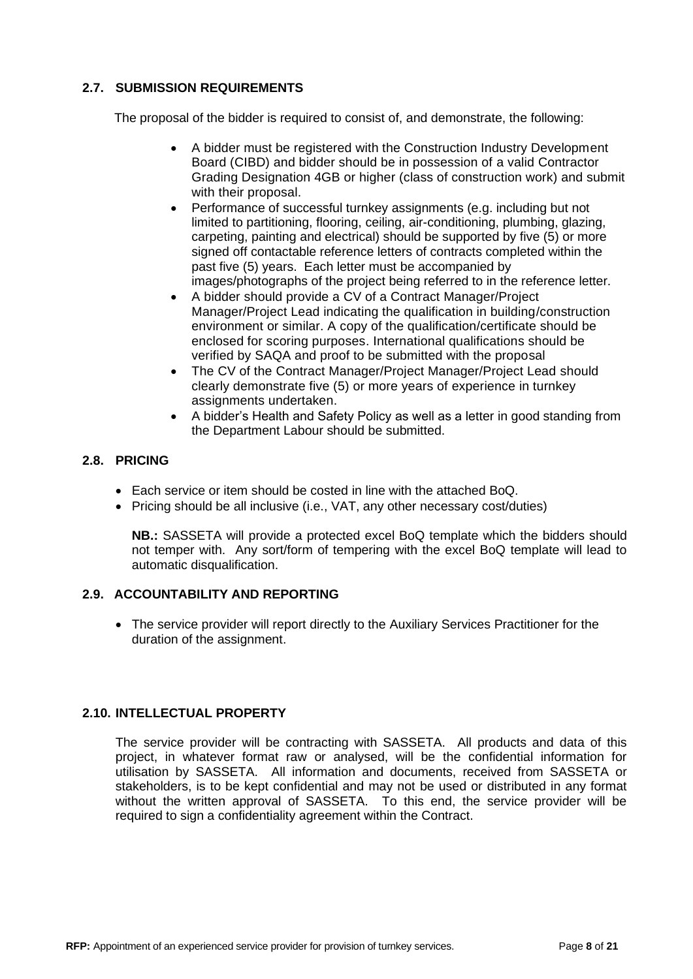## **2.7. SUBMISSION REQUIREMENTS**

The proposal of the bidder is required to consist of, and demonstrate, the following:

- A bidder must be registered with the Construction Industry Development Board (CIBD) and bidder should be in possession of a valid Contractor Grading Designation 4GB or higher (class of construction work) and submit with their proposal.
- Performance of successful turnkey assignments (e.g. including but not limited to partitioning, flooring, ceiling, air-conditioning, plumbing, glazing, carpeting, painting and electrical) should be supported by five (5) or more signed off contactable reference letters of contracts completed within the past five (5) years. Each letter must be accompanied by images/photographs of the project being referred to in the reference letter.
- A bidder should provide a CV of a Contract Manager/Project Manager/Project Lead indicating the qualification in building/construction environment or similar. A copy of the qualification/certificate should be enclosed for scoring purposes. International qualifications should be verified by SAQA and proof to be submitted with the proposal
- The CV of the Contract Manager/Project Manager/Project Lead should clearly demonstrate five (5) or more years of experience in turnkey assignments undertaken.
- A bidder's Health and Safety Policy as well as a letter in good standing from the Department Labour should be submitted.

## **2.8. PRICING**

- Each service or item should be costed in line with the attached BoQ.
- Pricing should be all inclusive (i.e., VAT, any other necessary cost/duties)

**NB.:** SASSETA will provide a protected excel BoQ template which the bidders should not temper with. Any sort/form of tempering with the excel BoQ template will lead to automatic disqualification.

## **2.9. ACCOUNTABILITY AND REPORTING**

• The service provider will report directly to the Auxiliary Services Practitioner for the duration of the assignment.

## **2.10. INTELLECTUAL PROPERTY**

The service provider will be contracting with SASSETA. All products and data of this project, in whatever format raw or analysed, will be the confidential information for utilisation by SASSETA. All information and documents, received from SASSETA or stakeholders, is to be kept confidential and may not be used or distributed in any format without the written approval of SASSETA. To this end, the service provider will be required to sign a confidentiality agreement within the Contract.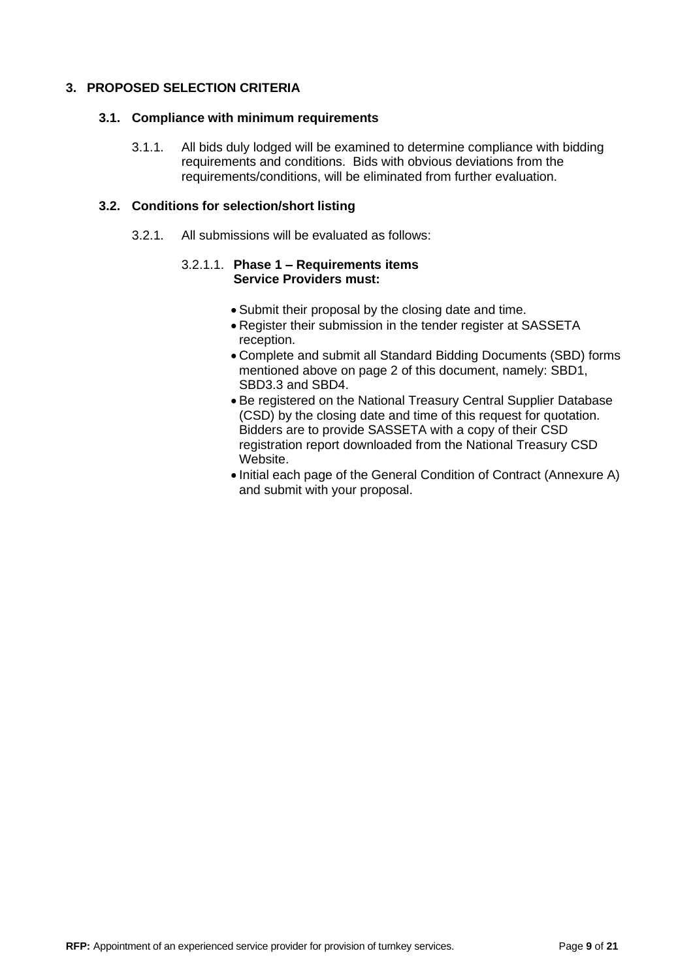## **3. PROPOSED SELECTION CRITERIA**

## **3.1. Compliance with minimum requirements**

3.1.1. All bids duly lodged will be examined to determine compliance with bidding requirements and conditions. Bids with obvious deviations from the requirements/conditions, will be eliminated from further evaluation.

## **3.2. Conditions for selection/short listing**

3.2.1. All submissions will be evaluated as follows:

## 3.2.1.1. **Phase 1 – Requirements items Service Providers must:**

- Submit their proposal by the closing date and time.
- Register their submission in the tender register at SASSETA reception.
- Complete and submit all Standard Bidding Documents (SBD) forms mentioned above on page 2 of this document, namely: SBD1, SBD3.3 and SBD4.
- Be registered on the National Treasury Central Supplier Database (CSD) by the closing date and time of this request for quotation. Bidders are to provide SASSETA with a copy of their CSD registration report downloaded from the National Treasury CSD Website.
- Initial each page of the General Condition of Contract (Annexure A) and submit with your proposal.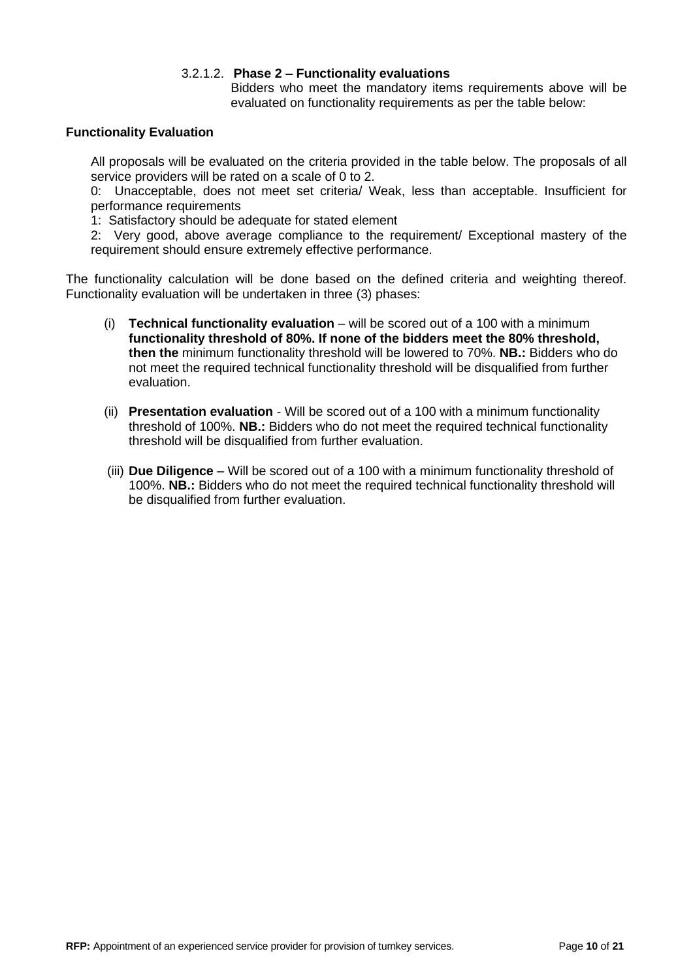## 3.2.1.2. **Phase 2 – Functionality evaluations**

Bidders who meet the mandatory items requirements above will be evaluated on functionality requirements as per the table below:

## **Functionality Evaluation**

All proposals will be evaluated on the criteria provided in the table below. The proposals of all service providers will be rated on a scale of 0 to 2.

0: Unacceptable, does not meet set criteria/ Weak, less than acceptable. Insufficient for performance requirements

1: Satisfactory should be adequate for stated element

2: Very good, above average compliance to the requirement/ Exceptional mastery of the requirement should ensure extremely effective performance.

The functionality calculation will be done based on the defined criteria and weighting thereof. Functionality evaluation will be undertaken in three (3) phases:

- (i) **Technical functionality evaluation** will be scored out of a 100 with a minimum **functionality threshold of 80%. If none of the bidders meet the 80% threshold, then the** minimum functionality threshold will be lowered to 70%. **NB.:** Bidders who do not meet the required technical functionality threshold will be disqualified from further evaluation.
- (ii) **Presentation evaluation** Will be scored out of a 100 with a minimum functionality threshold of 100%. **NB.:** Bidders who do not meet the required technical functionality threshold will be disqualified from further evaluation.
- (iii) **Due Diligence** Will be scored out of a 100 with a minimum functionality threshold of 100%. **NB.:** Bidders who do not meet the required technical functionality threshold will be disqualified from further evaluation.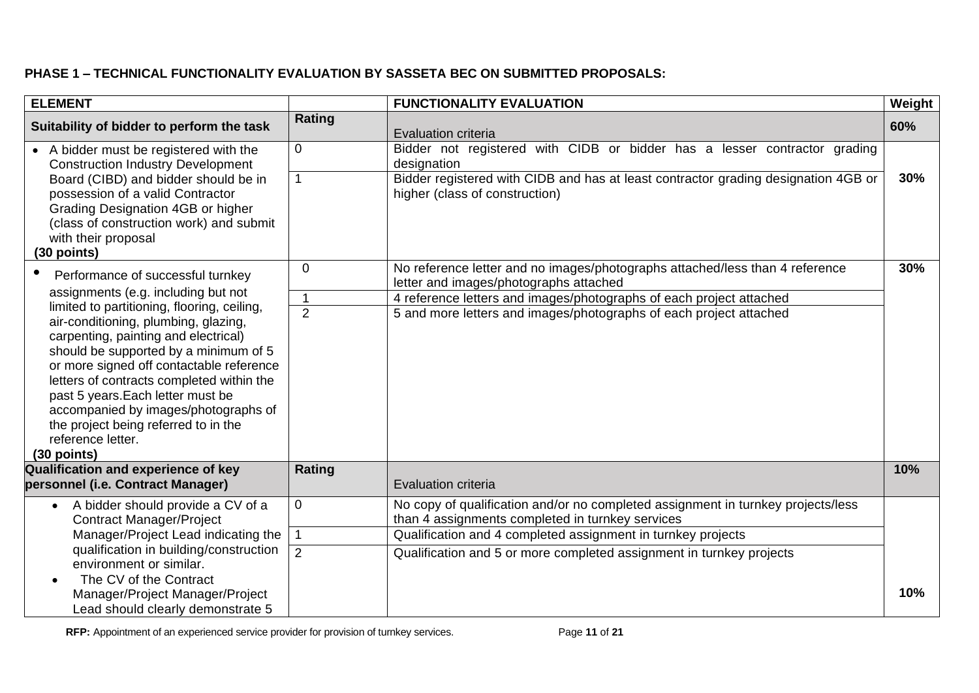## **PHASE 1 – TECHNICAL FUNCTIONALITY EVALUATION BY SASSETA BEC ON SUBMITTED PROPOSALS:**

| <b>ELEMENT</b>                                                                                                                                                                                                                                                                                                                                                                                                           |                | <b>FUNCTIONALITY EVALUATION</b>                                                                                                      | Weight |
|--------------------------------------------------------------------------------------------------------------------------------------------------------------------------------------------------------------------------------------------------------------------------------------------------------------------------------------------------------------------------------------------------------------------------|----------------|--------------------------------------------------------------------------------------------------------------------------------------|--------|
| Suitability of bidder to perform the task                                                                                                                                                                                                                                                                                                                                                                                | Rating         | <b>Evaluation criteria</b>                                                                                                           | 60%    |
| • A bidder must be registered with the<br><b>Construction Industry Development</b>                                                                                                                                                                                                                                                                                                                                       | $\overline{0}$ | Bidder not registered with CIDB or bidder has a lesser contractor grading<br>designation                                             |        |
| Board (CIBD) and bidder should be in<br>possession of a valid Contractor<br>Grading Designation 4GB or higher<br>(class of construction work) and submit<br>with their proposal<br>(30 points)                                                                                                                                                                                                                           | $\overline{1}$ | Bidder registered with CIDB and has at least contractor grading designation 4GB or<br>higher (class of construction)                 | 30%    |
| $\bullet$<br>Performance of successful turnkey                                                                                                                                                                                                                                                                                                                                                                           | $\overline{0}$ | No reference letter and no images/photographs attached/less than 4 reference<br>letter and images/photographs attached               | 30%    |
| assignments (e.g. including but not                                                                                                                                                                                                                                                                                                                                                                                      | $\mathbf 1$    | 4 reference letters and images/photographs of each project attached                                                                  |        |
| limited to partitioning, flooring, ceiling,<br>air-conditioning, plumbing, glazing,<br>carpenting, painting and electrical)<br>should be supported by a minimum of 5<br>or more signed off contactable reference<br>letters of contracts completed within the<br>past 5 years. Each letter must be<br>accompanied by images/photographs of<br>the project being referred to in the<br>reference letter.<br>$(30$ points) | $\overline{2}$ | 5 and more letters and images/photographs of each project attached                                                                   |        |
| Qualification and experience of key<br>personnel (i.e. Contract Manager)                                                                                                                                                                                                                                                                                                                                                 | <b>Rating</b>  | <b>Evaluation criteria</b>                                                                                                           | 10%    |
| • A bidder should provide a CV of a<br><b>Contract Manager/Project</b>                                                                                                                                                                                                                                                                                                                                                   | $\mathbf 0$    | No copy of qualification and/or no completed assignment in turnkey projects/less<br>than 4 assignments completed in turnkey services |        |
| Manager/Project Lead indicating the                                                                                                                                                                                                                                                                                                                                                                                      | $\mathbf 1$    | Qualification and 4 completed assignment in turnkey projects                                                                         |        |
| qualification in building/construction<br>environment or similar.                                                                                                                                                                                                                                                                                                                                                        | $\overline{2}$ | Qualification and 5 or more completed assignment in turnkey projects                                                                 |        |
| The CV of the Contract<br>Manager/Project Manager/Project<br>Lead should clearly demonstrate 5                                                                                                                                                                                                                                                                                                                           |                |                                                                                                                                      | 10%    |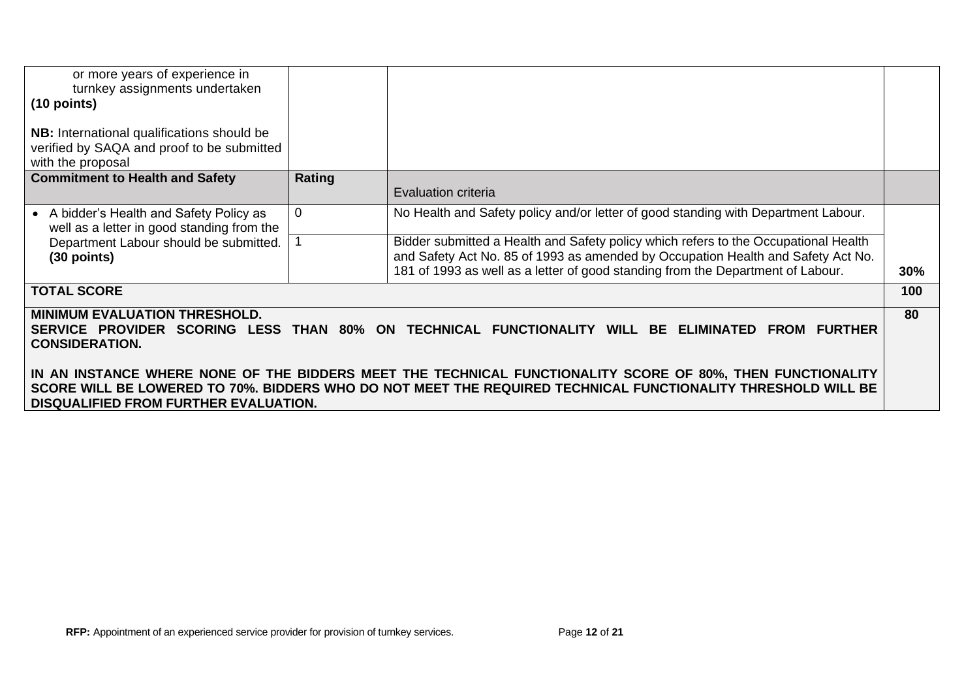| or more years of experience in<br>turnkey assignments undertaken                                                                                                                                                                                                           |          |                                                                                                                                                                                                                                                            |     |  |
|----------------------------------------------------------------------------------------------------------------------------------------------------------------------------------------------------------------------------------------------------------------------------|----------|------------------------------------------------------------------------------------------------------------------------------------------------------------------------------------------------------------------------------------------------------------|-----|--|
| $(10$ points)                                                                                                                                                                                                                                                              |          |                                                                                                                                                                                                                                                            |     |  |
| <b>NB:</b> International qualifications should be<br>verified by SAQA and proof to be submitted<br>with the proposal                                                                                                                                                       |          |                                                                                                                                                                                                                                                            |     |  |
| <b>Commitment to Health and Safety</b>                                                                                                                                                                                                                                     | Rating   | Evaluation criteria                                                                                                                                                                                                                                        |     |  |
| • A bidder's Health and Safety Policy as<br>well as a letter in good standing from the                                                                                                                                                                                     | $\Omega$ | No Health and Safety policy and/or letter of good standing with Department Labour.                                                                                                                                                                         |     |  |
| Department Labour should be submitted.<br>$(30$ points)                                                                                                                                                                                                                    |          | Bidder submitted a Health and Safety policy which refers to the Occupational Health<br>and Safety Act No. 85 of 1993 as amended by Occupation Health and Safety Act No.<br>181 of 1993 as well as a letter of good standing from the Department of Labour. | 30% |  |
| <b>TOTAL SCORE</b>                                                                                                                                                                                                                                                         |          |                                                                                                                                                                                                                                                            | 100 |  |
| <b>MINIMUM EVALUATION THRESHOLD.</b><br><b>SERVICE PROVIDER</b><br><b>SCORING LESS THAN 80%</b><br><b>CONSIDERATION.</b>                                                                                                                                                   |          | ON TECHNICAL FUNCTIONALITY<br>WILL BE<br><b>ELIMINATED</b><br><b>FURTHER</b><br><b>FROM</b>                                                                                                                                                                | 80  |  |
| IN AN INSTANCE WHERE NONE OF THE BIDDERS MEET THE TECHNICAL FUNCTIONALITY SCORE OF 80%, THEN FUNCTIONALITY<br>SCORE WILL BE LOWERED TO 70%. BIDDERS WHO DO NOT MEET THE REQUIRED TECHNICAL FUNCTIONALITY THRESHOLD WILL BE<br><b>DISQUALIFIED FROM FURTHER EVALUATION.</b> |          |                                                                                                                                                                                                                                                            |     |  |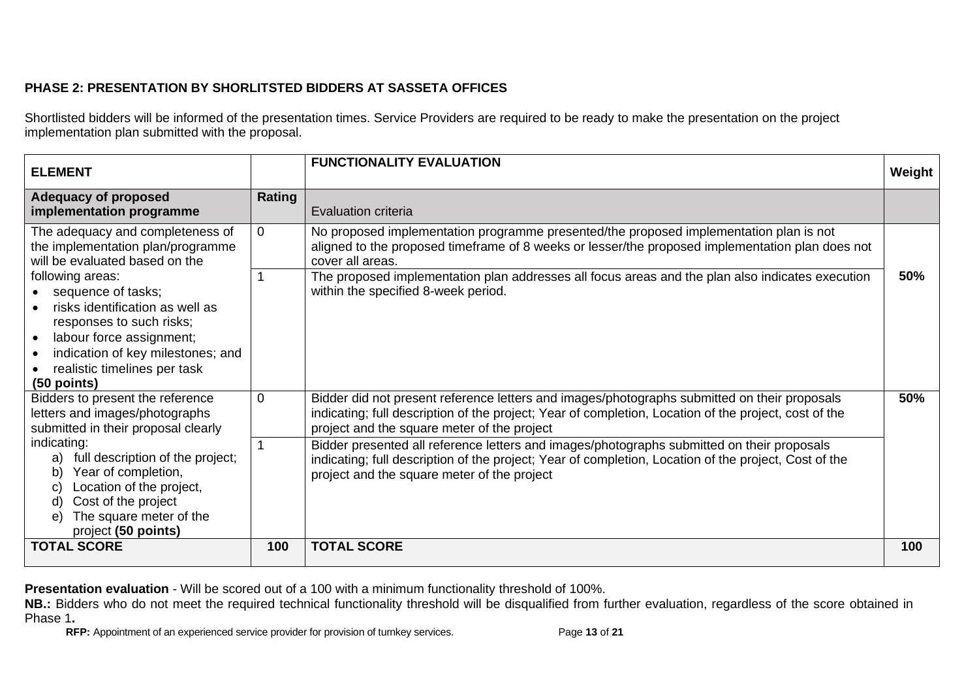## **PHASE 2: PRESENTATION BY SHORLITSTED BIDDERS AT SASSETA OFFICES**

Shortlisted bidders will be informed of the presentation times. Service Providers are required to be ready to make the presentation on the project implementation plan submitted with the proposal.

| <b>ELEMENT</b>                                                                                                                                                                                                                                                                                                                           |                | <b>FUNCTIONALITY EVALUATION</b>                                                                                                                                                                                                                                                                                                                                                                                                                                                                            | Weight |
|------------------------------------------------------------------------------------------------------------------------------------------------------------------------------------------------------------------------------------------------------------------------------------------------------------------------------------------|----------------|------------------------------------------------------------------------------------------------------------------------------------------------------------------------------------------------------------------------------------------------------------------------------------------------------------------------------------------------------------------------------------------------------------------------------------------------------------------------------------------------------------|--------|
| <b>Adequacy of proposed</b><br>implementation programme                                                                                                                                                                                                                                                                                  | Rating         | Evaluation criteria                                                                                                                                                                                                                                                                                                                                                                                                                                                                                        |        |
| The adequacy and completeness of<br>the implementation plan/programme<br>will be evaluated based on the                                                                                                                                                                                                                                  | $\overline{0}$ | No proposed implementation programme presented/the proposed implementation plan is not<br>aligned to the proposed timeframe of 8 weeks or lesser/the proposed implementation plan does not<br>cover all areas.                                                                                                                                                                                                                                                                                             |        |
| following areas:<br>• sequence of tasks;<br>risks identification as well as<br>responses to such risks;<br>labour force assignment;<br>$\bullet$<br>indication of key milestones; and<br>realistic timelines per task<br>$(50$ points)                                                                                                   |                | The proposed implementation plan addresses all focus areas and the plan also indicates execution<br>within the specified 8-week period.                                                                                                                                                                                                                                                                                                                                                                    | 50%    |
| $\overline{0}$<br>Bidders to present the reference<br>letters and images/photographs<br>submitted in their proposal clearly<br>indicating:<br>full description of the project;<br>a)<br>Year of completion,<br>b)<br>Location of the project,<br>C)<br>Cost of the project<br>d)<br>The square meter of the<br>e)<br>project (50 points) |                | Bidder did not present reference letters and images/photographs submitted on their proposals<br>indicating; full description of the project; Year of completion, Location of the project, cost of the<br>project and the square meter of the project<br>Bidder presented all reference letters and images/photographs submitted on their proposals<br>indicating; full description of the project; Year of completion, Location of the project, Cost of the<br>project and the square meter of the project | 50%    |
| <b>TOTAL SCORE</b>                                                                                                                                                                                                                                                                                                                       | 100            | <b>TOTAL SCORE</b>                                                                                                                                                                                                                                                                                                                                                                                                                                                                                         | 100    |

**Presentation evaluation** - Will be scored out of a 100 with a minimum functionality threshold of 100%.

**NB.:** Bidders who do not meet the required technical functionality threshold will be disqualified from further evaluation, regardless of the score obtained in Phase 1**.**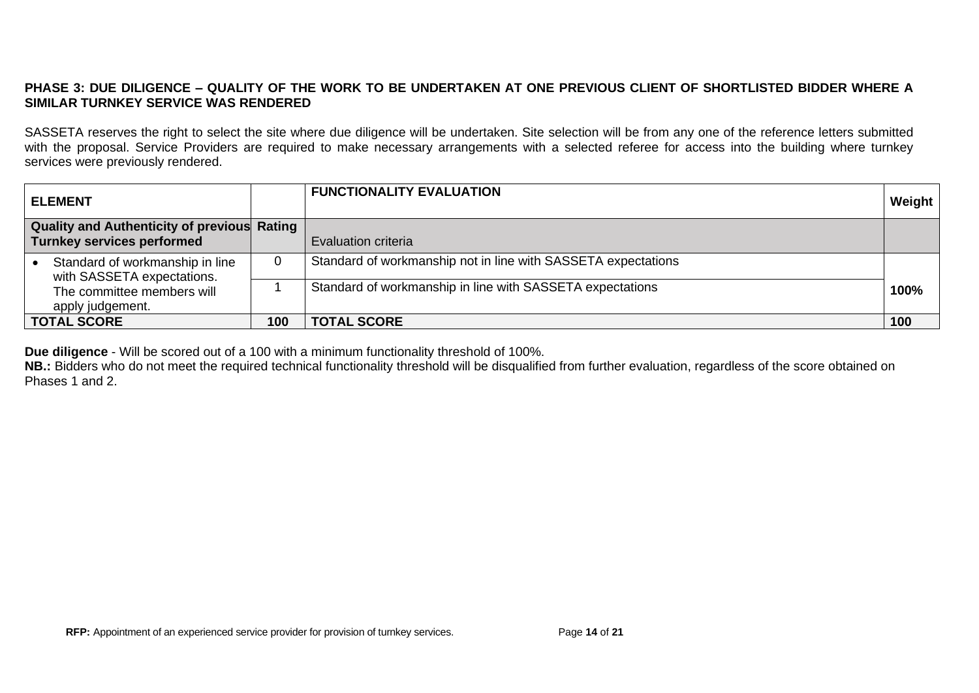## **PHASE 3: DUE DILIGENCE – QUALITY OF THE WORK TO BE UNDERTAKEN AT ONE PREVIOUS CLIENT OF SHORTLISTED BIDDER WHERE A SIMILAR TURNKEY SERVICE WAS RENDERED**

SASSETA reserves the right to select the site where due diligence will be undertaken. Site selection will be from any one of the reference letters submitted with the proposal. Service Providers are required to make necessary arrangements with a selected referee for access into the building where turnkey services were previously rendered.

| <b>ELEMENT</b>                                                                          |          | <b>FUNCTIONALITY EVALUATION</b>                               | Weight |
|-----------------------------------------------------------------------------------------|----------|---------------------------------------------------------------|--------|
| <b>Quality and Authenticity of previous Rating</b><br><b>Turnkey services performed</b> |          | <b>Evaluation criteria</b>                                    |        |
| Standard of workmanship in line<br>with SASSETA expectations.                           | $\Omega$ | Standard of workmanship not in line with SASSETA expectations |        |
| The committee members will<br>apply judgement.                                          |          | Standard of workmanship in line with SASSETA expectations     | 100%   |
| <b>TOTAL SCORE</b>                                                                      | 100      | <b>TOTAL SCORE</b>                                            | 100    |

**Due diligence** - Will be scored out of a 100 with a minimum functionality threshold of 100%.

**NB.:** Bidders who do not meet the required technical functionality threshold will be disqualified from further evaluation, regardless of the score obtained on Phases 1 and 2.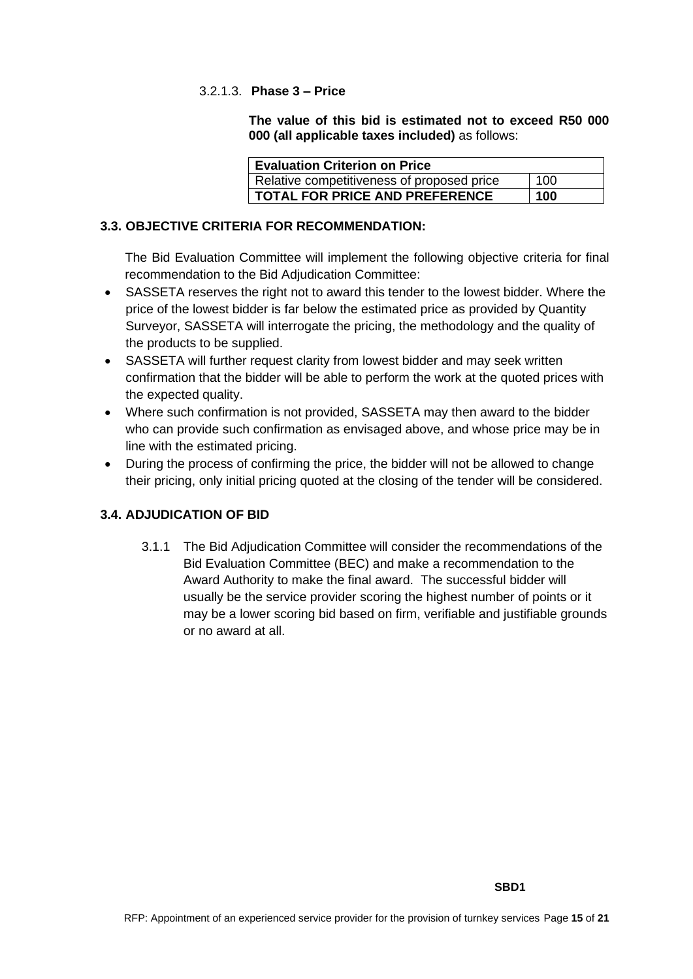## 3.2.1.3. **Phase 3 – Price**

**The value of this bid is estimated not to exceed R50 000 000 (all applicable taxes included)** as follows:

| <b>Evaluation Criterion on Price</b>              |  |  |  |  |
|---------------------------------------------------|--|--|--|--|
| 100<br>Relative competitiveness of proposed price |  |  |  |  |
| <b>TOTAL FOR PRICE AND PREFERENCE</b><br>100      |  |  |  |  |

## **3.3. OBJECTIVE CRITERIA FOR RECOMMENDATION:**

The Bid Evaluation Committee will implement the following objective criteria for final recommendation to the Bid Adjudication Committee:

- SASSETA reserves the right not to award this tender to the lowest bidder. Where the price of the lowest bidder is far below the estimated price as provided by Quantity Surveyor, SASSETA will interrogate the pricing, the methodology and the quality of the products to be supplied.
- SASSETA will further request clarity from lowest bidder and may seek written confirmation that the bidder will be able to perform the work at the quoted prices with the expected quality.
- Where such confirmation is not provided, SASSETA may then award to the bidder who can provide such confirmation as envisaged above, and whose price may be in line with the estimated pricing.
- During the process of confirming the price, the bidder will not be allowed to change their pricing, only initial pricing quoted at the closing of the tender will be considered.

## **3.4. ADJUDICATION OF BID**

3.1.1 The Bid Adjudication Committee will consider the recommendations of the Bid Evaluation Committee (BEC) and make a recommendation to the Award Authority to make the final award. The successful bidder will usually be the service provider scoring the highest number of points or it may be a lower scoring bid based on firm, verifiable and justifiable grounds or no award at all.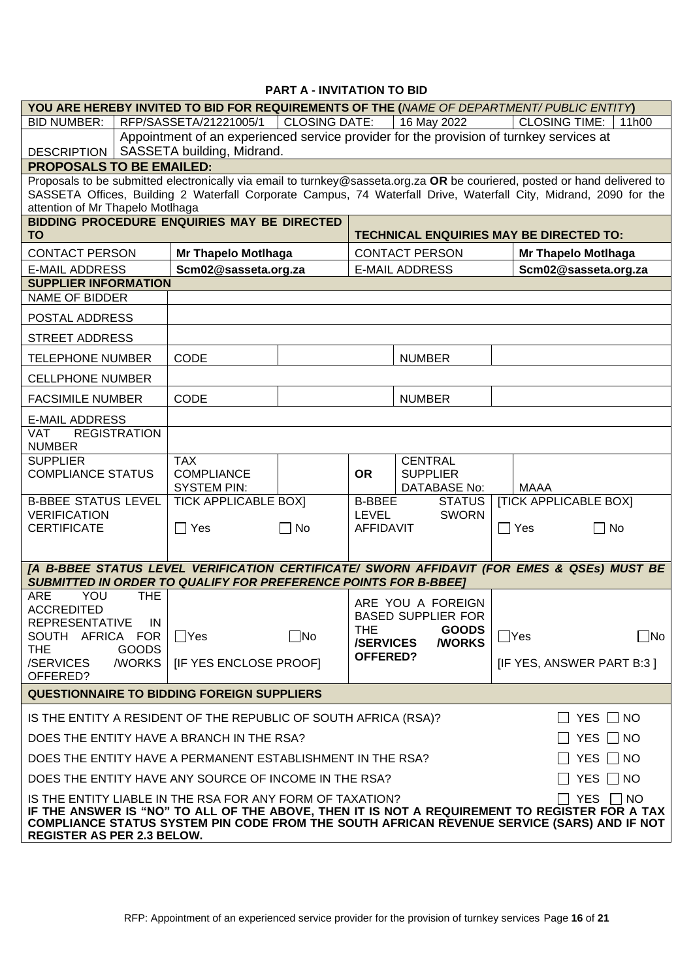## **PART A - INVITATION TO BID**

|                                                                                                                                                                                                                                                                                                    |                                                                                                                                                                                                                                                                                    | YOU ARE HEREBY INVITED TO BID FOR REQUIREMENTS OF THE (NAME OF DEPARTMENT/ PUBLIC ENTITY)                                                                            |                      |                                            |                                                          |            |                                                                |           |
|----------------------------------------------------------------------------------------------------------------------------------------------------------------------------------------------------------------------------------------------------------------------------------------------------|------------------------------------------------------------------------------------------------------------------------------------------------------------------------------------------------------------------------------------------------------------------------------------|----------------------------------------------------------------------------------------------------------------------------------------------------------------------|----------------------|--------------------------------------------|----------------------------------------------------------|------------|----------------------------------------------------------------|-----------|
| <b>BID NUMBER:</b>                                                                                                                                                                                                                                                                                 |                                                                                                                                                                                                                                                                                    | RFP/SASSETA/21221005/1                                                                                                                                               | <b>CLOSING DATE:</b> |                                            | 16 May 2022                                              |            | <b>CLOSING TIME:</b>                                           | 11h00     |
| Appointment of an experienced service provider for the provision of turnkey services at<br>DESCRIPTION   SASSETA building, Midrand.                                                                                                                                                                |                                                                                                                                                                                                                                                                                    |                                                                                                                                                                      |                      |                                            |                                                          |            |                                                                |           |
| <b>PROPOSALS TO BE EMAILED:</b>                                                                                                                                                                                                                                                                    |                                                                                                                                                                                                                                                                                    |                                                                                                                                                                      |                      |                                            |                                                          |            |                                                                |           |
|                                                                                                                                                                                                                                                                                                    | Proposals to be submitted electronically via email to turnkey@sasseta.org.za OR be couriered, posted or hand delivered to<br>SASSETA Offices, Building 2 Waterfall Corporate Campus, 74 Waterfall Drive, Waterfall City, Midrand, 2090 for the<br>attention of Mr Thapelo Motlhaga |                                                                                                                                                                      |                      |                                            |                                                          |            |                                                                |           |
| <b>TO</b>                                                                                                                                                                                                                                                                                          |                                                                                                                                                                                                                                                                                    | <b>BIDDING PROCEDURE ENQUIRIES MAY BE DIRECTED</b>                                                                                                                   |                      |                                            |                                                          |            | <b>TECHNICAL ENQUIRIES MAY BE DIRECTED TO:</b>                 |           |
| <b>CONTACT PERSON</b>                                                                                                                                                                                                                                                                              |                                                                                                                                                                                                                                                                                    | Mr Thapelo Motlhaga                                                                                                                                                  |                      |                                            | <b>CONTACT PERSON</b>                                    |            | <b>Mr Thapelo Motlhaga</b>                                     |           |
| <b>E-MAIL ADDRESS</b>                                                                                                                                                                                                                                                                              |                                                                                                                                                                                                                                                                                    | Scm02@sasseta.org.za                                                                                                                                                 |                      |                                            | <b>E-MAIL ADDRESS</b>                                    |            | Scm02@sasseta.org.za                                           |           |
| <b>SUPPLIER INFORMATION</b>                                                                                                                                                                                                                                                                        |                                                                                                                                                                                                                                                                                    |                                                                                                                                                                      |                      |                                            |                                                          |            |                                                                |           |
| <b>NAME OF BIDDER</b>                                                                                                                                                                                                                                                                              |                                                                                                                                                                                                                                                                                    |                                                                                                                                                                      |                      |                                            |                                                          |            |                                                                |           |
| POSTAL ADDRESS                                                                                                                                                                                                                                                                                     |                                                                                                                                                                                                                                                                                    |                                                                                                                                                                      |                      |                                            |                                                          |            |                                                                |           |
| <b>STREET ADDRESS</b>                                                                                                                                                                                                                                                                              |                                                                                                                                                                                                                                                                                    |                                                                                                                                                                      |                      |                                            |                                                          |            |                                                                |           |
| <b>TELEPHONE NUMBER</b>                                                                                                                                                                                                                                                                            |                                                                                                                                                                                                                                                                                    | CODE                                                                                                                                                                 |                      |                                            | <b>NUMBER</b>                                            |            |                                                                |           |
| <b>CELLPHONE NUMBER</b>                                                                                                                                                                                                                                                                            |                                                                                                                                                                                                                                                                                    |                                                                                                                                                                      |                      |                                            |                                                          |            |                                                                |           |
| <b>FACSIMILE NUMBER</b>                                                                                                                                                                                                                                                                            |                                                                                                                                                                                                                                                                                    | CODE                                                                                                                                                                 |                      |                                            | <b>NUMBER</b>                                            |            |                                                                |           |
| <b>E-MAIL ADDRESS</b>                                                                                                                                                                                                                                                                              |                                                                                                                                                                                                                                                                                    |                                                                                                                                                                      |                      |                                            |                                                          |            |                                                                |           |
| <b>VAT</b><br><b>NUMBER</b>                                                                                                                                                                                                                                                                        | <b>REGISTRATION</b>                                                                                                                                                                                                                                                                |                                                                                                                                                                      |                      |                                            |                                                          |            |                                                                |           |
| <b>SUPPLIER</b><br><b>COMPLIANCE STATUS</b>                                                                                                                                                                                                                                                        |                                                                                                                                                                                                                                                                                    | <b>TAX</b><br><b>COMPLIANCE</b><br><b>SYSTEM PIN:</b>                                                                                                                |                      | <b>OR</b>                                  | <b>CENTRAL</b><br><b>SUPPLIER</b><br><b>DATABASE No:</b> |            | <b>MAAA</b>                                                    |           |
| <b>B-BBEE STATUS LEVEL</b><br><b>VERIFICATION</b><br><b>CERTIFICATE</b>                                                                                                                                                                                                                            |                                                                                                                                                                                                                                                                                    | <b>TICK APPLICABLE BOXI</b><br>$\Box$ Yes                                                                                                                            | $\Box$ No            | <b>B-BBEE</b><br>LEVEL<br><b>AFFIDAVIT</b> | <b>STATUS</b><br><b>SWORN</b>                            | $\Box$ Yes | <b>[TICK APPLICABLE BOX]</b><br>No<br>$\overline{\phantom{a}}$ |           |
|                                                                                                                                                                                                                                                                                                    |                                                                                                                                                                                                                                                                                    | [A B-BBEE STATUS LEVEL VERIFICATION CERTIFICATE/ SWORN AFFIDAVIT (FOR EMES & QSEs) MUST BE<br><b>SUBMITTED IN ORDER TO QUALIFY FOR PREFERENCE POINTS FOR B-BBEET</b> |                      |                                            |                                                          |            |                                                                |           |
| YOU<br><b>ARE</b>                                                                                                                                                                                                                                                                                  | <b>THE</b>                                                                                                                                                                                                                                                                         |                                                                                                                                                                      |                      |                                            | ARE YOU A FOREIGN                                        |            |                                                                |           |
| <b>ACCREDITED</b><br><b>REPRESENTATIVE</b>                                                                                                                                                                                                                                                         | <b>IN</b>                                                                                                                                                                                                                                                                          |                                                                                                                                                                      |                      |                                            | <b>BASED SUPPLIER FOR</b>                                |            |                                                                |           |
| SOUTH AFRICA FOR                                                                                                                                                                                                                                                                                   |                                                                                                                                                                                                                                                                                    | $\Box$ Yes                                                                                                                                                           | $\square$ No         | <b>THE</b><br><b>/SERVICES</b>             | <b>GOODS</b><br><b>/WORKS</b>                            | $\Box$ Yes |                                                                | $\Box$ No |
| <b>THE</b><br>/SERVICES<br>OFFERED?                                                                                                                                                                                                                                                                | GOODS<br>/WORKS                                                                                                                                                                                                                                                                    | <b>IF YES ENCLOSE PROOFI</b>                                                                                                                                         |                      | <b>OFFERED?</b>                            |                                                          |            | [IF YES, ANSWER PART B:3]                                      |           |
| <b>QUESTIONNAIRE TO BIDDING FOREIGN SUPPLIERS</b>                                                                                                                                                                                                                                                  |                                                                                                                                                                                                                                                                                    |                                                                                                                                                                      |                      |                                            |                                                          |            |                                                                |           |
|                                                                                                                                                                                                                                                                                                    |                                                                                                                                                                                                                                                                                    | IS THE ENTITY A RESIDENT OF THE REPUBLIC OF SOUTH AFRICA (RSA)?                                                                                                      |                      |                                            |                                                          |            | YES $\Box$ NO                                                  |           |
| DOES THE ENTITY HAVE A BRANCH IN THE RSA?<br>YES $\Box$ NO                                                                                                                                                                                                                                         |                                                                                                                                                                                                                                                                                    |                                                                                                                                                                      |                      |                                            |                                                          |            |                                                                |           |
|                                                                                                                                                                                                                                                                                                    | DOES THE ENTITY HAVE A PERMANENT ESTABLISHMENT IN THE RSA?<br>YES $\Box$ NO                                                                                                                                                                                                        |                                                                                                                                                                      |                      |                                            |                                                          |            |                                                                |           |
|                                                                                                                                                                                                                                                                                                    |                                                                                                                                                                                                                                                                                    | DOES THE ENTITY HAVE ANY SOURCE OF INCOME IN THE RSA?                                                                                                                |                      |                                            |                                                          |            | YES $\Box$ NO                                                  |           |
| YES □ NO<br>IS THE ENTITY LIABLE IN THE RSA FOR ANY FORM OF TAXATION?<br>IF THE ANSWER IS "NO" TO ALL OF THE ABOVE, THEN IT IS NOT A REQUIREMENT TO REGISTER FOR A TAX<br>COMPLIANCE STATUS SYSTEM PIN CODE FROM THE SOUTH AFRICAN REVENUE SERVICE (SARS) AND IF NOT<br>REGISTER AS PER 2.3 BELOW. |                                                                                                                                                                                                                                                                                    |                                                                                                                                                                      |                      |                                            |                                                          |            |                                                                |           |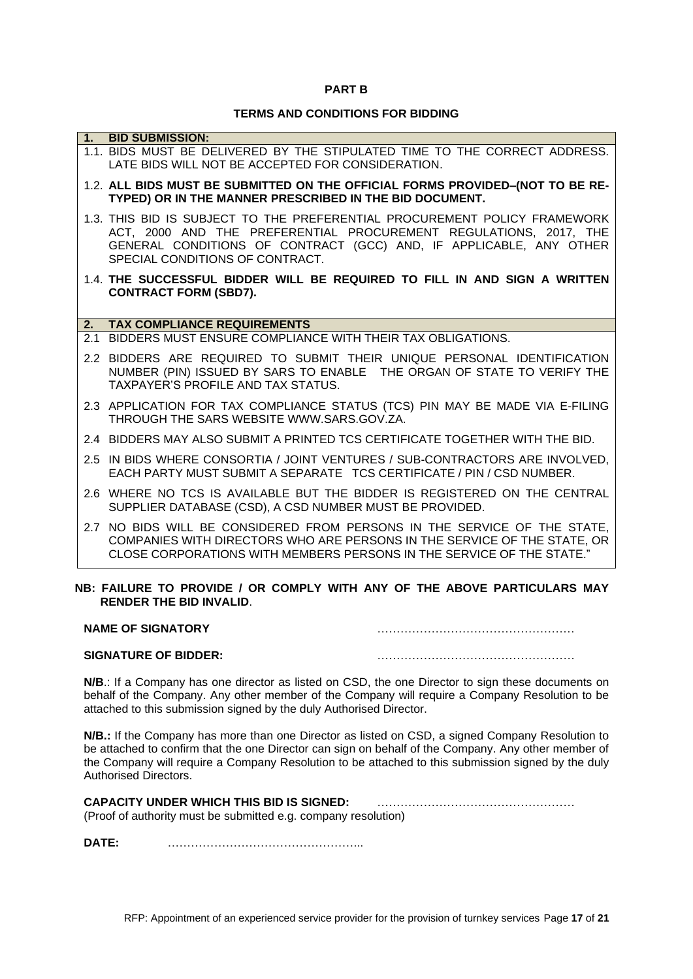#### **PART B**

## **TERMS AND CONDITIONS FOR BIDDING**

| 1. | <b>BID SUBMISSION:</b>                                                                                                                                                                                                                                  |
|----|---------------------------------------------------------------------------------------------------------------------------------------------------------------------------------------------------------------------------------------------------------|
|    | 1.1. BIDS MUST BE DELIVERED BY THE STIPULATED TIME TO THE CORRECT ADDRESS.<br>LATE BIDS WILL NOT BE ACCEPTED FOR CONSIDERATION.                                                                                                                         |
|    | 1.2. ALL BIDS MUST BE SUBMITTED ON THE OFFICIAL FORMS PROVIDED-(NOT TO BE RE-<br>TYPED) OR IN THE MANNER PRESCRIBED IN THE BID DOCUMENT.                                                                                                                |
|    | 1.3. THIS BID IS SUBJECT TO THE PREFERENTIAL PROCUREMENT POLICY FRAMEWORK<br>ACT, 2000 AND THE PREFERENTIAL PROCUREMENT REGULATIONS, 2017, THE<br>GENERAL CONDITIONS OF CONTRACT (GCC) AND, IF APPLICABLE, ANY OTHER<br>SPECIAL CONDITIONS OF CONTRACT. |
|    | 1.4. THE SUCCESSFUL BIDDER WILL BE REQUIRED TO FILL IN AND SIGN A WRITTEN<br><b>CONTRACT FORM (SBD7).</b>                                                                                                                                               |
| 2. | <b>TAX COMPLIANCE REQUIREMENTS</b>                                                                                                                                                                                                                      |
|    | 2.1 BIDDERS MUST ENSURE COMPLIANCE WITH THEIR TAX OBLIGATIONS.                                                                                                                                                                                          |
|    | 2.2 BIDDERS ARE REQUIRED TO SUBMIT THEIR UNIQUE PERSONAL IDENTIFICATION<br>NUMBER (PIN) ISSUED BY SARS TO ENABLE THE ORGAN OF STATE TO VERIFY THE<br><b>TAXPAYER'S PROFILE AND TAX STATUS.</b>                                                          |
|    | 2.3 APPLICATION FOR TAX COMPLIANCE STATUS (TCS) PIN MAY BE MADE VIA E-FILING<br>THROUGH THE SARS WEBSITE WWW.SARS.GOV.ZA.                                                                                                                               |
|    | 2.4 BIDDERS MAY ALSO SUBMIT A PRINTED TCS CERTIFICATE TOGETHER WITH THE BID.                                                                                                                                                                            |
|    | 2.5 IN BIDS WHERE CONSORTIA / JOINT VENTURES / SUB-CONTRACTORS ARE INVOLVED,<br>EACH PARTY MUST SUBMIT A SEPARATE TCS CERTIFICATE / PIN / CSD NUMBER.                                                                                                   |
|    | 2.6 WHERE NO TCS IS AVAILABLE BUT THE BIDDER IS REGISTERED ON THE CENTRAL<br>SUPPLIER DATABASE (CSD), A CSD NUMBER MUST BE PROVIDED.                                                                                                                    |
|    | 2.7 NO BIDS WILL BE CONSIDERED FROM PERSONS IN THE SERVICE OF THE STATE,<br>COMPANIES WITH DIRECTORS WHO ARE PERSONS IN THE SERVICE OF THE STATE, OR<br>CLOSE CORPORATIONS WITH MEMBERS PERSONS IN THE SERVICE OF THE STATE."                           |
|    | NB: FAILURE TO PROVIDE / OR COMPLY WITH ANY OF THE ABOVE PARTICULARS MAY                                                                                                                                                                                |

# **RENDER THE BID INVALID**.

| <b>NAME OF SIGNATORY</b>    |  |
|-----------------------------|--|
| <b>SIGNATURE OF BIDDER:</b> |  |

**N/B**.: If a Company has one director as listed on CSD, the one Director to sign these documents on behalf of the Company. Any other member of the Company will require a Company Resolution to be attached to this submission signed by the duly Authorised Director.

**N/B.:** If the Company has more than one Director as listed on CSD, a signed Company Resolution to be attached to confirm that the one Director can sign on behalf of the Company. Any other member of the Company will require a Company Resolution to be attached to this submission signed by the duly Authorised Directors.

| <b>CAPACITY UNDER WHICH THIS BID IS SIGNED:</b>                |  |
|----------------------------------------------------------------|--|
| (Proof of authority must be submitted e.g. company resolution) |  |

**DATE:** …………………………………………...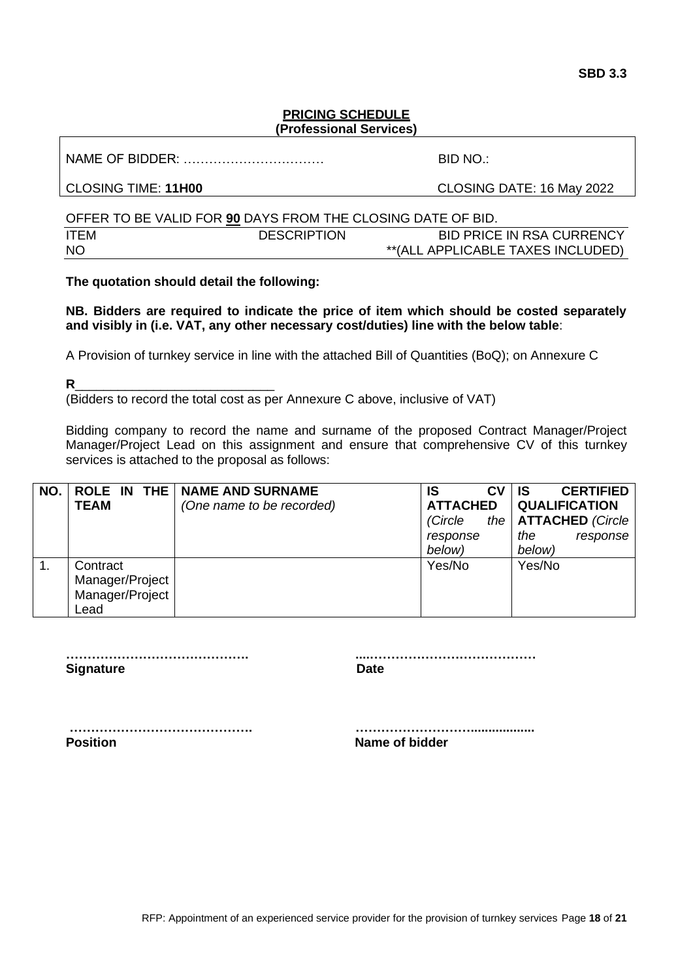## **PRICING SCHEDULE (Professional Services)**

NAME OF BIDDER: …………………………… BID NO.:

CLOSING TIME: **11H00** CLOSING DATE: 16 May 2022

|             | OFFER TO BE VALID FOR 90 DAYS FROM THE CLOSING DATE OF BID. |                                   |
|-------------|-------------------------------------------------------------|-----------------------------------|
| <b>ITFM</b> | <b>DESCRIPTION</b>                                          | BID PRICE IN RSA CURRENCY         |
| <b>NO</b>   |                                                             | **(ALL APPLICABLE TAXES INCLUDED) |

**The quotation should detail the following:**

**NB. Bidders are required to indicate the price of item which should be costed separately and visibly in (i.e. VAT, any other necessary cost/duties) line with the below table**:

A Provision of turnkey service in line with the attached Bill of Quantities (BoQ); on Annexure C

**R**\_\_\_\_\_\_\_\_\_\_\_\_\_\_\_\_\_\_\_\_\_\_\_\_\_\_\_\_

(Bidders to record the total cost as per Annexure C above, inclusive of VAT)

Bidding company to record the name and surname of the proposed Contract Manager/Project Manager/Project Lead on this assignment and ensure that comprehensive CV of this turnkey services is attached to the proposal as follows:

| NO. |                 | ROLE IN THE   NAME AND SURNAME | <b>CV</b><br>IS | <b>CERTIFIED</b><br>IS |
|-----|-----------------|--------------------------------|-----------------|------------------------|
|     | <b>TEAM</b>     | (One name to be recorded)      | <b>ATTACHED</b> | <b>QUALIFICATION</b>   |
|     |                 |                                | (Circle         | the   ATTACHED (Circle |
|     |                 |                                | response        | the<br>response        |
|     |                 |                                | below)          | below)                 |
|     | Contract        |                                | Yes/No          | Yes/No                 |
|     | Manager/Project |                                |                 |                        |
|     | Manager/Project |                                |                 |                        |
|     | Lead            |                                |                 |                        |

**Signature Date** 

**……………………………………. ....…………………………………**

**……………………………………. ………………………..................**

**Position Contract Contract Contract Contract Contract Contract Contract Contract Contract Contract Contract Contract Contract Contract Contract Contract Contract Contract Contract Contract Contract Contract Contract Contr**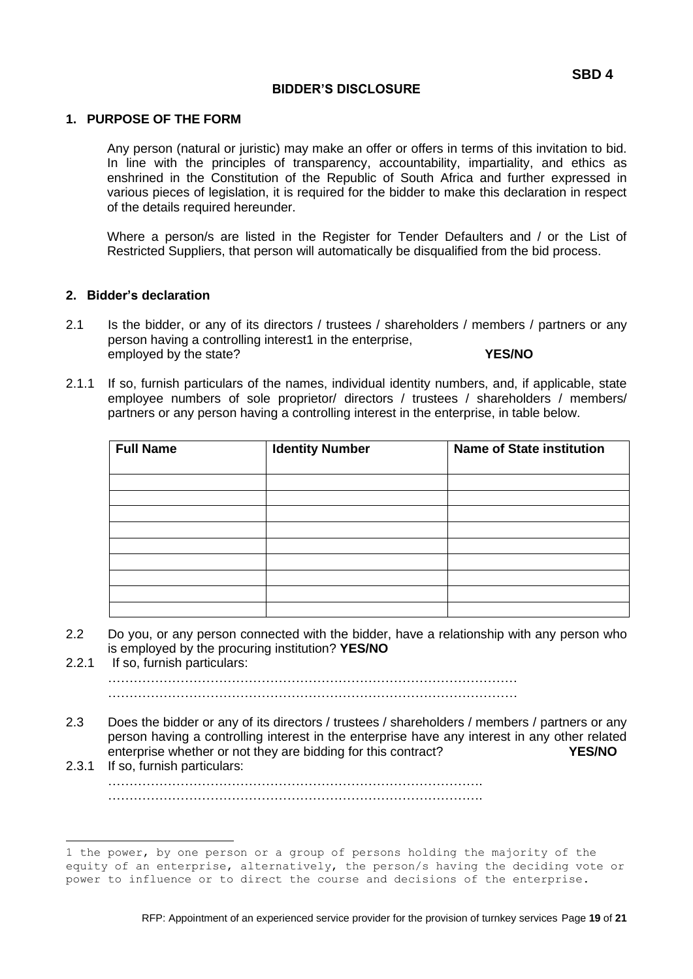## **BIDDER'S DISCLOSURE**

#### **1. PURPOSE OF THE FORM**

Any person (natural or juristic) may make an offer or offers in terms of this invitation to bid. In line with the principles of transparency, accountability, impartiality, and ethics as enshrined in the Constitution of the Republic of South Africa and further expressed in various pieces of legislation, it is required for the bidder to make this declaration in respect of the details required hereunder.

Where a person/s are listed in the Register for Tender Defaulters and / or the List of Restricted Suppliers, that person will automatically be disqualified from the bid process.

## **2. Bidder's declaration**

- 2.1 Is the bidder, or any of its directors / trustees / shareholders / members / partners or any person having a controlling interest1 in the enterprise, employed by the state? **YES/NO**
- 2.1.1 If so, furnish particulars of the names, individual identity numbers, and, if applicable, state employee numbers of sole proprietor/ directors / trustees / shareholders / members/ partners or any person having a controlling interest in the enterprise, in table below.

| <b>Full Name</b> | <b>Identity Number</b> | <b>Name of State institution</b> |  |  |  |  |  |  |  |  |  |
|------------------|------------------------|----------------------------------|--|--|--|--|--|--|--|--|--|
|                  |                        |                                  |  |  |  |  |  |  |  |  |  |
|                  |                        |                                  |  |  |  |  |  |  |  |  |  |
|                  |                        |                                  |  |  |  |  |  |  |  |  |  |
|                  |                        |                                  |  |  |  |  |  |  |  |  |  |
|                  |                        |                                  |  |  |  |  |  |  |  |  |  |
|                  |                        |                                  |  |  |  |  |  |  |  |  |  |
|                  |                        |                                  |  |  |  |  |  |  |  |  |  |
|                  |                        |                                  |  |  |  |  |  |  |  |  |  |
|                  |                        |                                  |  |  |  |  |  |  |  |  |  |

- 2.2 Do you, or any person connected with the bidder, have a relationship with any person who is employed by the procuring institution? **YES/NO**
- 2.2.1 If so, furnish particulars: ……………………………………………………………………………………

……………………………………………………………………………………

- 2.3 Does the bidder or any of its directors / trustees / shareholders / members / partners or any person having a controlling interest in the enterprise have any interest in any other related enterprise whether or not they are bidding for this contract? **YES/NO**
- 2.3.1 If so, furnish particulars: ……………………………………………………………………………. …………………………………………………………………………….

<sup>1</sup> the power, by one person or a group of persons holding the majority of the equity of an enterprise, alternatively, the person/s having the deciding vote or power to influence or to direct the course and decisions of the enterprise.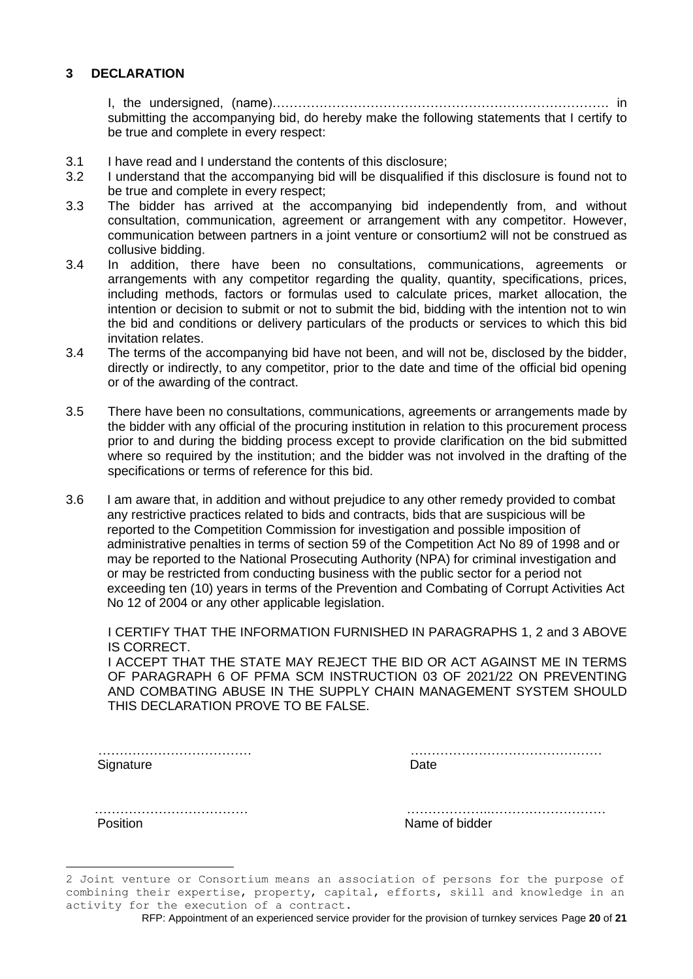## **3 DECLARATION**

I, the undersigned, (name)……………………………………………………………………. in submitting the accompanying bid, do hereby make the following statements that I certify to be true and complete in every respect:

- 3.1 I have read and I understand the contents of this disclosure;
- 3.2 I understand that the accompanying bid will be disqualified if this disclosure is found not to be true and complete in every respect;
- 3.3 The bidder has arrived at the accompanying bid independently from, and without consultation, communication, agreement or arrangement with any competitor. However, communication between partners in a joint venture or consortium2 will not be construed as collusive bidding.
- 3.4 In addition, there have been no consultations, communications, agreements or arrangements with any competitor regarding the quality, quantity, specifications, prices, including methods, factors or formulas used to calculate prices, market allocation, the intention or decision to submit or not to submit the bid, bidding with the intention not to win the bid and conditions or delivery particulars of the products or services to which this bid invitation relates.
- 3.4 The terms of the accompanying bid have not been, and will not be, disclosed by the bidder, directly or indirectly, to any competitor, prior to the date and time of the official bid opening or of the awarding of the contract.
- 3.5 There have been no consultations, communications, agreements or arrangements made by the bidder with any official of the procuring institution in relation to this procurement process prior to and during the bidding process except to provide clarification on the bid submitted where so required by the institution; and the bidder was not involved in the drafting of the specifications or terms of reference for this bid.
- 3.6 I am aware that, in addition and without prejudice to any other remedy provided to combat any restrictive practices related to bids and contracts, bids that are suspicious will be reported to the Competition Commission for investigation and possible imposition of administrative penalties in terms of section 59 of the Competition Act No 89 of 1998 and or may be reported to the National Prosecuting Authority (NPA) for criminal investigation and or may be restricted from conducting business with the public sector for a period not exceeding ten (10) years in terms of the Prevention and Combating of Corrupt Activities Act No 12 of 2004 or any other applicable legislation.

I CERTIFY THAT THE INFORMATION FURNISHED IN PARAGRAPHS 1, 2 and 3 ABOVE IS CORRECT.

I ACCEPT THAT THE STATE MAY REJECT THE BID OR ACT AGAINST ME IN TERMS OF PARAGRAPH 6 OF PFMA SCM INSTRUCTION 03 OF 2021/22 ON PREVENTING AND COMBATING ABUSE IN THE SUPPLY CHAIN MANAGEMENT SYSTEM SHOULD THIS DECLARATION PROVE TO BE FALSE.

 ……………………………… ……………………………………… Signature Date

| DΣ |  |  |  |  |  |  |  |  |  |  |  |  |  |  |  |  |  |  |  |  |  |  |  |  |  |
|----|--|--|--|--|--|--|--|--|--|--|--|--|--|--|--|--|--|--|--|--|--|--|--|--|--|

Position **Name of bidder** 

……………………………… ………………..………………………

<sup>2</sup> Joint venture or Consortium means an association of persons for the purpose of combining their expertise, property, capital, efforts, skill and knowledge in an activity for the execution of a contract.

RFP: Appointment of an experienced service provider for the provision of turnkey services Page **20** of **21**